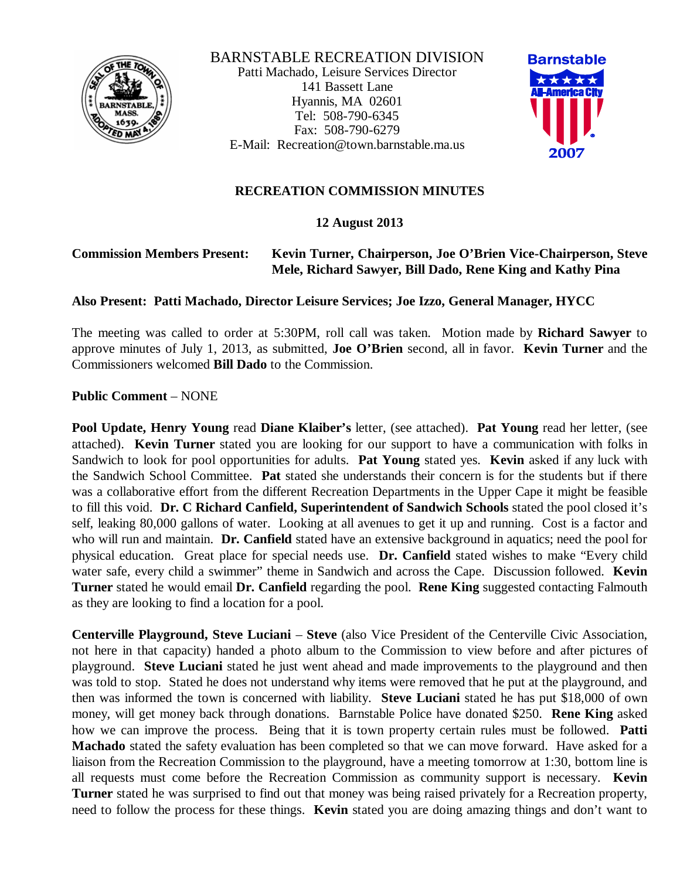

BARNSTABLE RECREATION DIVISION Patti Machado, Leisure Services Director 141 Bassett Lane Hyannis, MA 02601 Tel: 508-790-6345 Fax: 508-790-6279 E-Mail: Recreation@town.barnstable.ma.us



## **RECREATION COMMISSION MINUTES**

## **12 August 2013**

#### **Commission Members Present: Kevin Turner, Chairperson, Joe O'Brien Vice-Chairperson, Steve Mele, Richard Sawyer, Bill Dado, Rene King and Kathy Pina**

#### **Also Present: Patti Machado, Director Leisure Services; Joe Izzo, General Manager, HYCC**

The meeting was called to order at 5:30PM, roll call was taken. Motion made by **Richard Sawyer** to approve minutes of July 1, 2013, as submitted, **Joe O'Brien** second, all in favor. **Kevin Turner** and the Commissioners welcomed **Bill Dado** to the Commission.

**Public Comment** – NONE

**Pool Update, Henry Young** read **Diane Klaiber's** letter, (see attached). **Pat Young** read her letter, (see attached). **Kevin Turner** stated you are looking for our support to have a communication with folks in Sandwich to look for pool opportunities for adults. **Pat Young** stated yes. **Kevin** asked if any luck with the Sandwich School Committee. **Pat** stated she understands their concern is for the students but if there was a collaborative effort from the different Recreation Departments in the Upper Cape it might be feasible to fill this void. **Dr. C Richard Canfield, Superintendent of Sandwich Schools** stated the pool closed it's self, leaking 80,000 gallons of water. Looking at all avenues to get it up and running. Cost is a factor and who will run and maintain. **Dr. Canfield** stated have an extensive background in aquatics; need the pool for physical education. Great place for special needs use. **Dr. Canfield** stated wishes to make "Every child water safe, every child a swimmer" theme in Sandwich and across the Cape. Discussion followed. **Kevin Turner** stated he would email **Dr. Canfield** regarding the pool. **Rene King** suggested contacting Falmouth as they are looking to find a location for a pool.

**Centerville Playground, Steve Luciani** – **Steve** (also Vice President of the Centerville Civic Association, not here in that capacity) handed a photo album to the Commission to view before and after pictures of playground. **Steve Luciani** stated he just went ahead and made improvements to the playground and then was told to stop. Stated he does not understand why items were removed that he put at the playground, and then was informed the town is concerned with liability. **Steve Luciani** stated he has put \$18,000 of own money, will get money back through donations. Barnstable Police have donated \$250. **Rene King** asked how we can improve the process. Being that it is town property certain rules must be followed. **Patti Machado** stated the safety evaluation has been completed so that we can move forward. Have asked for a liaison from the Recreation Commission to the playground, have a meeting tomorrow at 1:30, bottom line is all requests must come before the Recreation Commission as community support is necessary. **Kevin Turner** stated he was surprised to find out that money was being raised privately for a Recreation property, need to follow the process for these things. **Kevin** stated you are doing amazing things and don't want to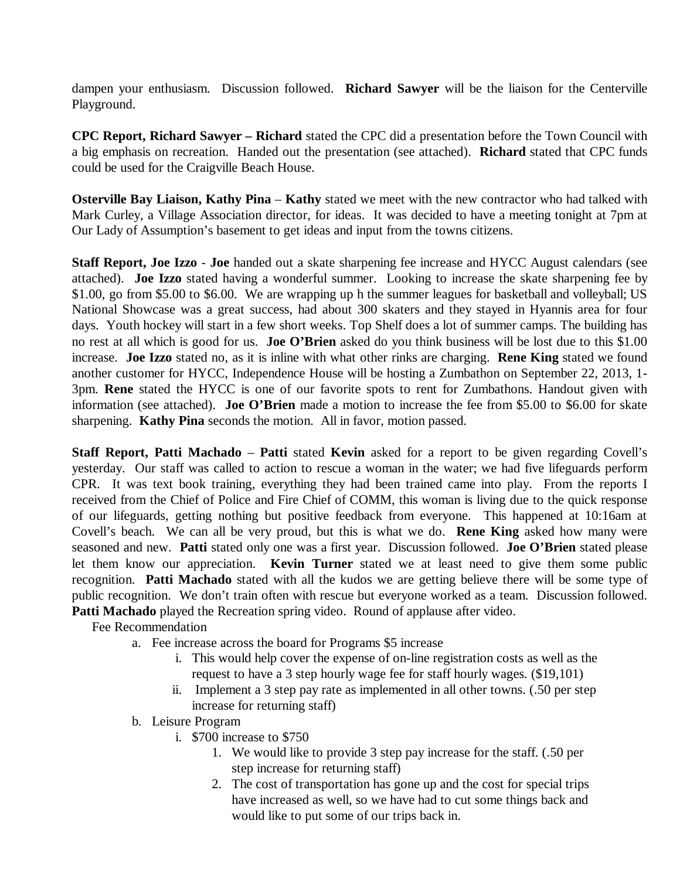dampen your enthusiasm. Discussion followed. **Richard Sawyer** will be the liaison for the Centerville Playground.

**CPC Report, Richard Sawyer – Richard** stated the CPC did a presentation before the Town Council with a big emphasis on recreation. Handed out the presentation (see attached). **Richard** stated that CPC funds could be used for the Craigville Beach House.

**Osterville Bay Liaison, Kathy Pina** – **Kathy** stated we meet with the new contractor who had talked with Mark Curley, a Village Association director, for ideas. It was decided to have a meeting tonight at 7pm at Our Lady of Assumption's basement to get ideas and input from the towns citizens.

**Staff Report, Joe Izzo** - **Joe** handed out a skate sharpening fee increase and HYCC August calendars (see attached). **Joe Izzo** stated having a wonderful summer. Looking to increase the skate sharpening fee by \$1.00, go from \$5.00 to \$6.00. We are wrapping up h the summer leagues for basketball and volleyball; US National Showcase was a great success, had about 300 skaters and they stayed in Hyannis area for four days. Youth hockey will start in a few short weeks. Top Shelf does a lot of summer camps. The building has no rest at all which is good for us. **Joe O'Brien** asked do you think business will be lost due to this \$1.00 increase. **Joe Izzo** stated no, as it is inline with what other rinks are charging. **Rene King** stated we found another customer for HYCC, Independence House will be hosting a Zumbathon on September 22, 2013, 1- 3pm. **Rene** stated the HYCC is one of our favorite spots to rent for Zumbathons. Handout given with information (see attached). **Joe O'Brien** made a motion to increase the fee from \$5.00 to \$6.00 for skate sharpening. **Kathy Pina** seconds the motion. All in favor, motion passed.

**Staff Report, Patti Machado** – **Patti** stated **Kevin** asked for a report to be given regarding Covell's yesterday. Our staff was called to action to rescue a woman in the water; we had five lifeguards perform CPR. It was text book training, everything they had been trained came into play. From the reports I received from the Chief of Police and Fire Chief of COMM, this woman is living due to the quick response of our lifeguards, getting nothing but positive feedback from everyone. This happened at 10:16am at Covell's beach. We can all be very proud, but this is what we do. **Rene King** asked how many were seasoned and new. **Patti** stated only one was a first year. Discussion followed. **Joe O'Brien** stated please let them know our appreciation. **Kevin Turner** stated we at least need to give them some public recognition. **Patti Machado** stated with all the kudos we are getting believe there will be some type of public recognition. We don't train often with rescue but everyone worked as a team. Discussion followed. **Patti Machado** played the Recreation spring video. Round of applause after video.

Fee Recommendation

- a. Fee increase across the board for Programs \$5 increase
	- i. This would help cover the expense of on-line registration costs as well as the request to have a 3 step hourly wage fee for staff hourly wages. (\$19,101)
	- ii. Implement a 3 step pay rate as implemented in all other towns. (.50 per step increase for returning staff)
- b. Leisure Program
	- i. \$700 increase to \$750
		- 1. We would like to provide 3 step pay increase for the staff. (.50 per step increase for returning staff)
		- 2. The cost of transportation has gone up and the cost for special trips have increased as well, so we have had to cut some things back and would like to put some of our trips back in.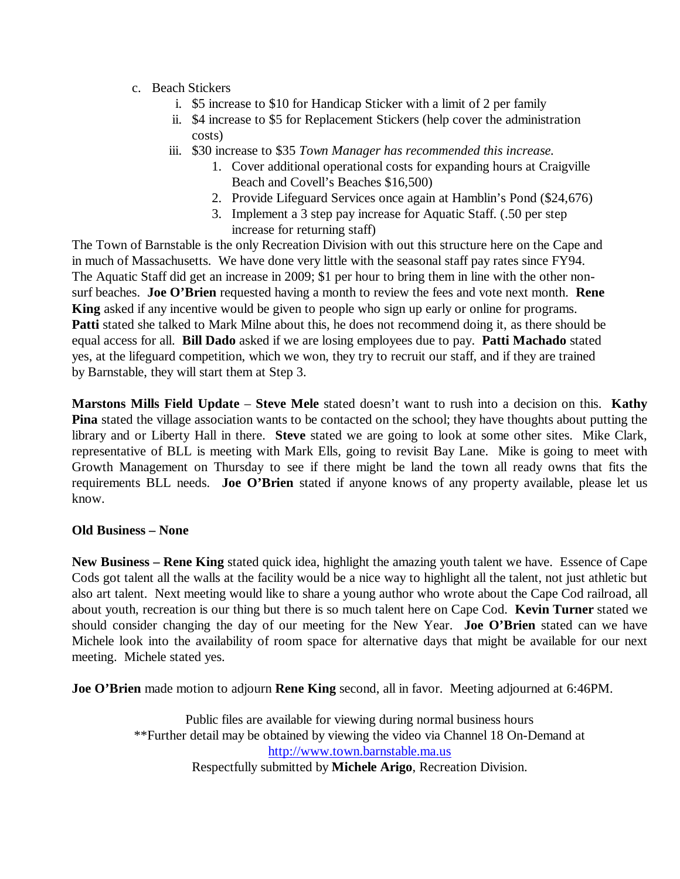- c. Beach Stickers
	- i. \$5 increase to \$10 for Handicap Sticker with a limit of 2 per family
	- ii. \$4 increase to \$5 for Replacement Stickers (help cover the administration costs)
	- iii. \$30 increase to \$35 *Town Manager has recommended this increase.*
		- 1. Cover additional operational costs for expanding hours at Craigville Beach and Covell's Beaches \$16,500)
		- 2. Provide Lifeguard Services once again at Hamblin's Pond (\$24,676)
		- 3. Implement a 3 step pay increase for Aquatic Staff. (.50 per step increase for returning staff)

The Town of Barnstable is the only Recreation Division with out this structure here on the Cape and in much of Massachusetts. We have done very little with the seasonal staff pay rates since FY94. The Aquatic Staff did get an increase in 2009; \$1 per hour to bring them in line with the other nonsurf beaches. **Joe O'Brien** requested having a month to review the fees and vote next month. **Rene King** asked if any incentive would be given to people who sign up early or online for programs. **Patti** stated she talked to Mark Milne about this, he does not recommend doing it, as there should be equal access for all. **Bill Dado** asked if we are losing employees due to pay. **Patti Machado** stated yes, at the lifeguard competition, which we won, they try to recruit our staff, and if they are trained by Barnstable, they will start them at Step 3.

**Marstons Mills Field Update** – **Steve Mele** stated doesn't want to rush into a decision on this. **Kathy Pina** stated the village association wants to be contacted on the school; they have thoughts about putting the library and or Liberty Hall in there. **Steve** stated we are going to look at some other sites. Mike Clark, representative of BLL is meeting with Mark Ells, going to revisit Bay Lane. Mike is going to meet with Growth Management on Thursday to see if there might be land the town all ready owns that fits the requirements BLL needs. **Joe O'Brien** stated if anyone knows of any property available, please let us know.

## **Old Business – None**

**New Business – Rene King** stated quick idea, highlight the amazing youth talent we have. Essence of Cape Cods got talent all the walls at the facility would be a nice way to highlight all the talent, not just athletic but also art talent. Next meeting would like to share a young author who wrote about the Cape Cod railroad, all about youth, recreation is our thing but there is so much talent here on Cape Cod. **Kevin Turner** stated we should consider changing the day of our meeting for the New Year. **Joe O'Brien** stated can we have Michele look into the availability of room space for alternative days that might be available for our next meeting. Michele stated yes.

**Joe O'Brien** made motion to adjourn **Rene King** second, all in favor. Meeting adjourned at 6:46PM.

Public files are available for viewing during normal business hours \*\*Further detail may be obtained by viewing the video via Channel 18 On-Demand at http://www.town.barnstable.ma.us Respectfully submitted by **Michele Arigo**, Recreation Division.